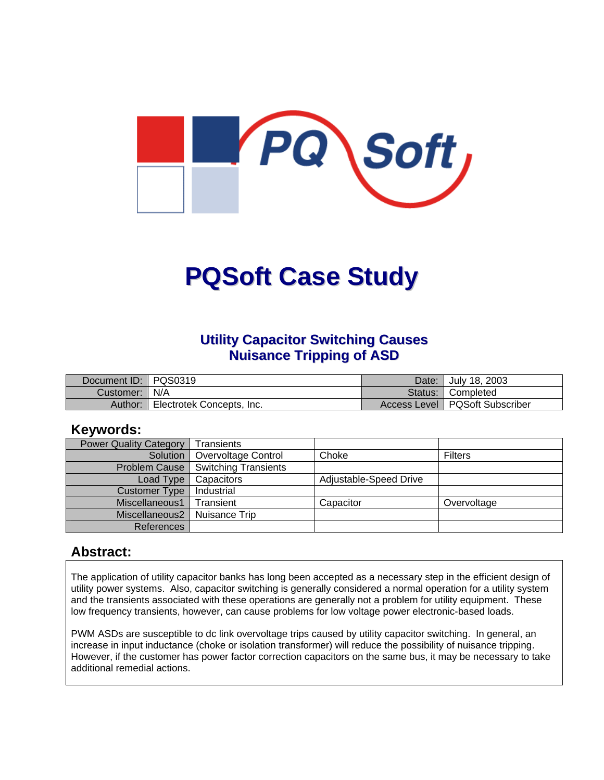

# **PQSoft Case Study**

#### **Utility Capacitor Switching Causes Nuisance Tripping of ASD**

| Document ID: PQS0319 |                           | Date: I | Uuly 18, 2003                    |
|----------------------|---------------------------|---------|----------------------------------|
| Customer:   N/A      |                           |         | Status: Completed                |
| Author:              | Electrotek Concepts, Inc. |         | Access Level   PQSoft Subscriber |

#### **Keywords:**

| <b>Power Quality Category</b> | Transients                  |                        |                |
|-------------------------------|-----------------------------|------------------------|----------------|
| Solution                      | Overvoltage Control         | Choke                  | <b>Filters</b> |
| Problem Cause                 | <b>Switching Transients</b> |                        |                |
| Load Type                     | Capacitors                  | Adjustable-Speed Drive |                |
| Customer Type                 | Industrial                  |                        |                |
| Miscellaneous1                | Transient                   | Capacitor              | Overvoltage    |
| Miscellaneous2                | Nuisance Trip               |                        |                |
| References                    |                             |                        |                |

#### **Abstract:**

The application of utility capacitor banks has long been accepted as a necessary step in the efficient design of utility power systems. Also, capacitor switching is generally considered a normal operation for a utility system and the transients associated with these operations are generally not a problem for utility equipment. These low frequency transients, however, can cause problems for low voltage power electronic-based loads.

PWM ASDs are susceptible to dc link overvoltage trips caused by utility capacitor switching. In general, an increase in input inductance (choke or isolation transformer) will reduce the possibility of nuisance tripping. However, if the customer has power factor correction capacitors on the same bus, it may be necessary to take additional remedial actions.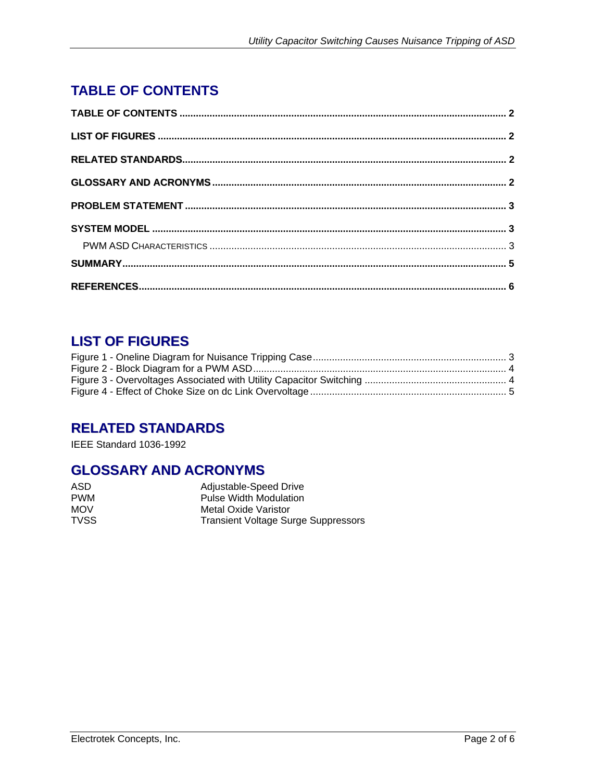## <span id="page-1-0"></span>**TABLE OF CONTENTS**

## **LIST OF FIGURES**

## **RELATED STANDARDS**

IEEE Standard 1036-1992

#### **GLOSSARY AND ACRONYMS**

| ASD         | Adjustable-Speed Drive              |
|-------------|-------------------------------------|
| <b>PWM</b>  | <b>Pulse Width Modulation</b>       |
| <b>MOV</b>  | Metal Oxide Varistor                |
| <b>TVSS</b> | Transient Voltage Surge Suppressors |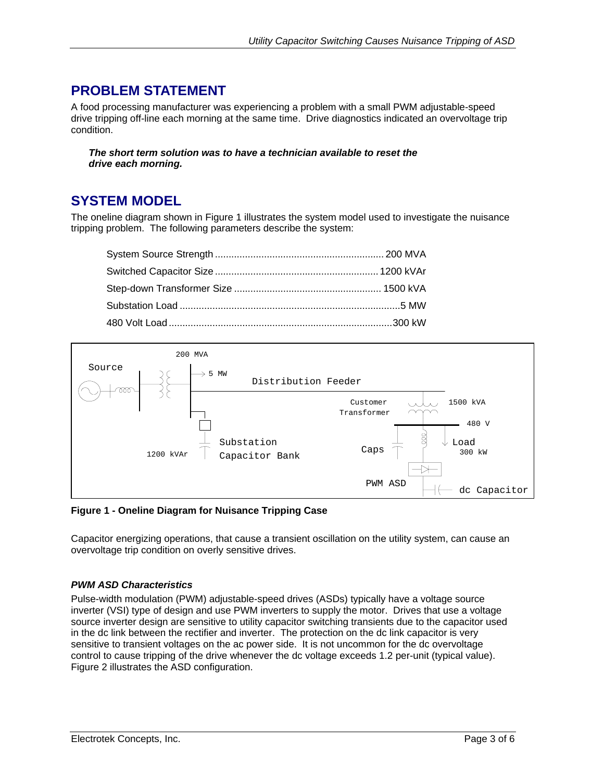## <span id="page-2-0"></span>**PROBLEM STATEMENT**

A food processing manufacturer was experiencing a problem with a small PWM adjustable-speed drive tripping off-line each morning at the same time. Drive diagnostics indicated an overvoltage trip condition.

*The short term solution was to have a technician available to reset the drive each morning.* 

#### **SYSTEM MODEL**

The oneline diagram shown in [Figure 1](#page-2-1) illustrates the system model used to investigate the nuisance tripping problem. The following parameters describe the system:

<span id="page-2-1"></span>

**Figure 1 - Oneline Diagram for Nuisance Tripping Case** 

Capacitor energizing operations, that cause a transient oscillation on the utility system, can cause an overvoltage trip condition on overly sensitive drives.

#### *PWM ASD Characteristics*

Pulse-width modulation (PWM) adjustable-speed drives (ASDs) typically have a voltage source inverter (VSI) type of design and use PWM inverters to supply the motor. Drives that use a voltage source inverter design are sensitive to utility capacitor switching transients due to the capacitor used in the dc link between the rectifier and inverter. The protection on the dc link capacitor is very sensitive to transient voltages on the ac power side. It is not uncommon for the dc overvoltage control to cause tripping of the drive whenever the dc voltage exceeds 1.2 per-unit (typical value). [Figure 2](#page-3-1) illustrates the ASD configuration.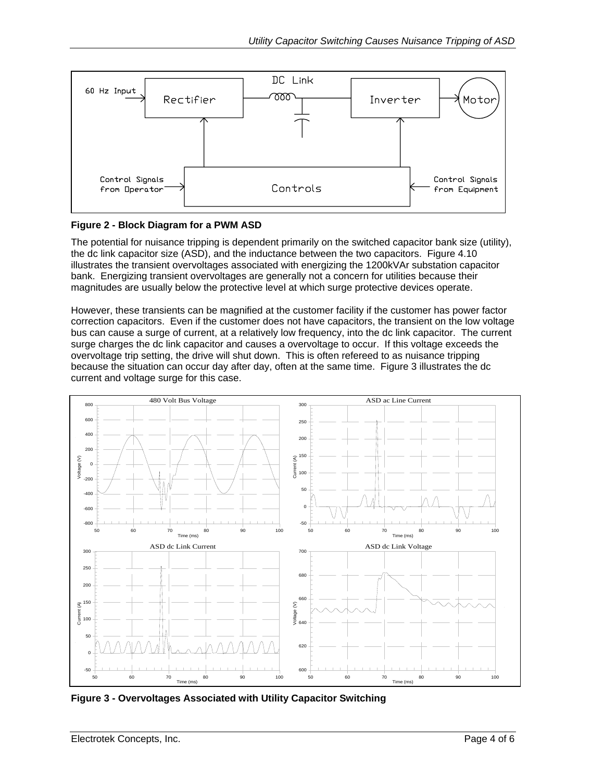<span id="page-3-1"></span><span id="page-3-0"></span>

#### **Figure 2 - Block Diagram for a PWM ASD**

The potential for nuisance tripping is dependent primarily on the switched capacitor bank size (utility), the dc link capacitor size (ASD), and the inductance between the two capacitors. Figure 4.10 illustrates the transient overvoltages associated with energizing the 1200kVAr substation capacitor bank. Energizing transient overvoltages are generally not a concern for utilities because their magnitudes are usually below the protective level at which surge protective devices operate.

However, these transients can be magnified at the customer facility if the customer has power factor correction capacitors. Even if the customer does not have capacitors, the transient on the low voltage bus can cause a surge of current, at a relatively low frequency, into the dc link capacitor. The current surge charges the dc link capacitor and causes a overvoltage to occur. If this voltage exceeds the overvoltage trip setting, the drive will shut down. This is often refereed to as nuisance tripping because the situation can occur day after day, often at the same time. [Figure 3](#page-3-2) illustrates the dc current and voltage surge for this case.



<span id="page-3-2"></span>**Figure 3 - Overvoltages Associated with Utility Capacitor Switching**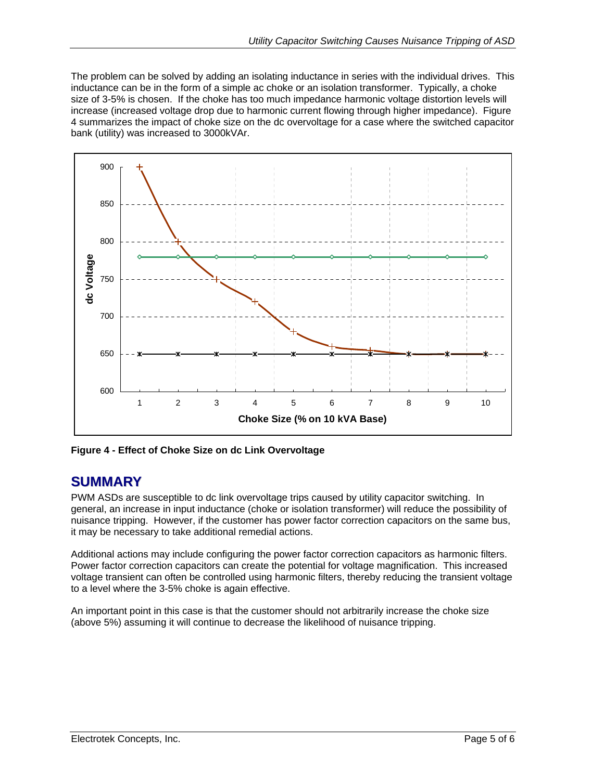<span id="page-4-0"></span>The problem can be solved by adding an isolating inductance in series with the individual drives. This inductance can be in the form of a simple ac choke or an isolation transformer. Typically, a choke size of 3-5% is chosen. If the choke has too much impedance harmonic voltage distortion levels will increase (increased voltage drop due to harmonic current flowing through higher impedance). [Figure](#page-4-1)  [4](#page-4-1) summarizes the impact of choke size on the dc overvoltage for a case where the switched capacitor bank (utility) was increased to 3000kVAr.

<span id="page-4-1"></span>

**Figure 4 - Effect of Choke Size on dc Link Overvoltage** 

#### **SUMMARY**

PWM ASDs are susceptible to dc link overvoltage trips caused by utility capacitor switching. In general, an increase in input inductance (choke or isolation transformer) will reduce the possibility of nuisance tripping. However, if the customer has power factor correction capacitors on the same bus, it may be necessary to take additional remedial actions.

Additional actions may include configuring the power factor correction capacitors as harmonic filters. Power factor correction capacitors can create the potential for voltage magnification. This increased voltage transient can often be controlled using harmonic filters, thereby reducing the transient voltage to a level where the 3-5% choke is again effective.

An important point in this case is that the customer should not arbitrarily increase the choke size (above 5%) assuming it will continue to decrease the likelihood of nuisance tripping.